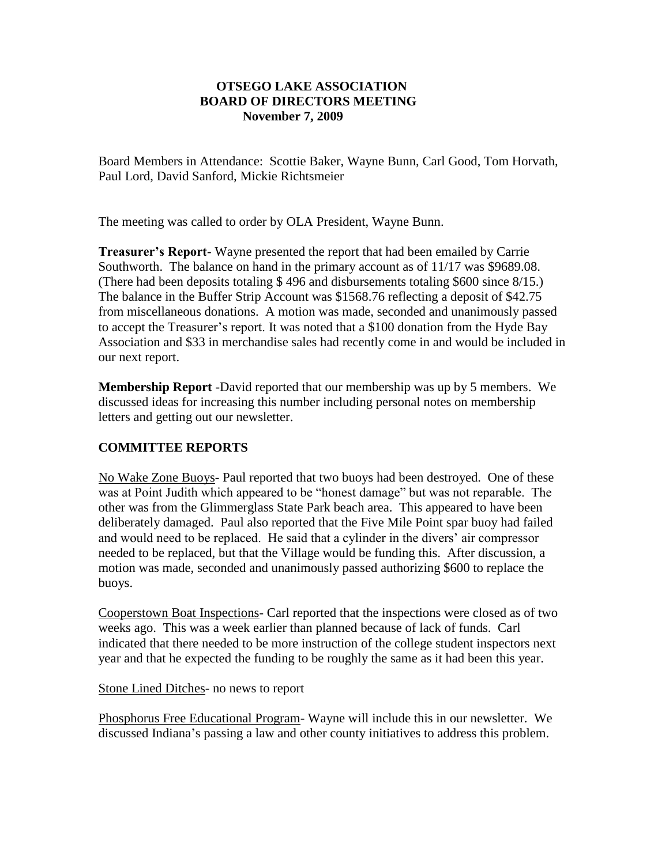## **OTSEGO LAKE ASSOCIATION BOARD OF DIRECTORS MEETING November 7, 2009**

Board Members in Attendance: Scottie Baker, Wayne Bunn, Carl Good, Tom Horvath, Paul Lord, David Sanford, Mickie Richtsmeier

The meeting was called to order by OLA President, Wayne Bunn.

**Treasurer's Report**- Wayne presented the report that had been emailed by Carrie Southworth. The balance on hand in the primary account as of 11/17 was \$9689.08. (There had been deposits totaling \$ 496 and disbursements totaling \$600 since 8/15.) The balance in the Buffer Strip Account was \$1568.76 reflecting a deposit of \$42.75 from miscellaneous donations. A motion was made, seconded and unanimously passed to accept the Treasurer's report. It was noted that a \$100 donation from the Hyde Bay Association and \$33 in merchandise sales had recently come in and would be included in our next report.

**Membership Report** -David reported that our membership was up by 5 members. We discussed ideas for increasing this number including personal notes on membership letters and getting out our newsletter.

## **COMMITTEE REPORTS**

No Wake Zone Buoys- Paul reported that two buoys had been destroyed. One of these was at Point Judith which appeared to be "honest damage" but was not reparable. The other was from the Glimmerglass State Park beach area. This appeared to have been deliberately damaged. Paul also reported that the Five Mile Point spar buoy had failed and would need to be replaced. He said that a cylinder in the divers' air compressor needed to be replaced, but that the Village would be funding this. After discussion, a motion was made, seconded and unanimously passed authorizing \$600 to replace the buoys.

Cooperstown Boat Inspections- Carl reported that the inspections were closed as of two weeks ago. This was a week earlier than planned because of lack of funds. Carl indicated that there needed to be more instruction of the college student inspectors next year and that he expected the funding to be roughly the same as it had been this year.

Stone Lined Ditches- no news to report

Phosphorus Free Educational Program- Wayne will include this in our newsletter. We discussed Indiana's passing a law and other county initiatives to address this problem.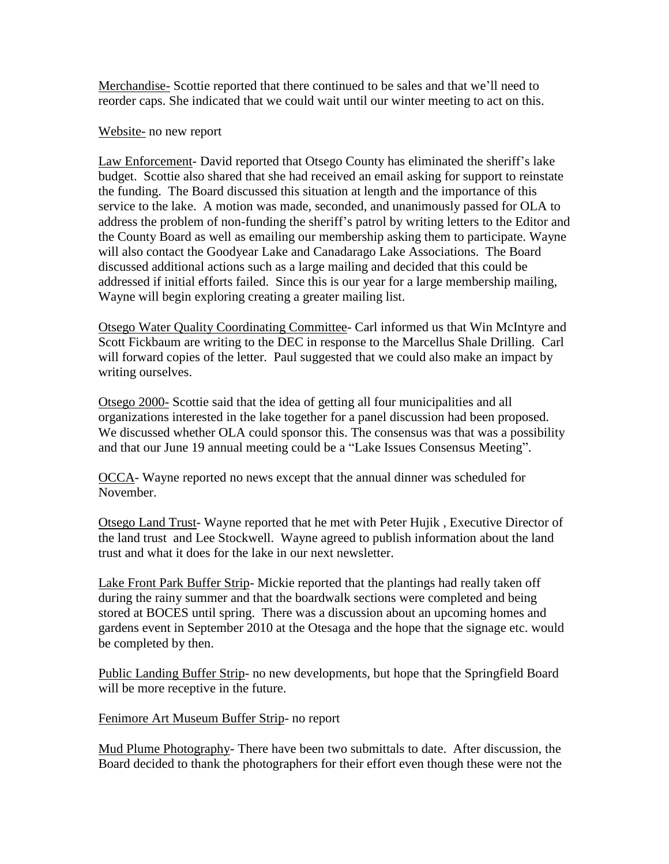Merchandise- Scottie reported that there continued to be sales and that we'll need to reorder caps. She indicated that we could wait until our winter meeting to act on this.

Website- no new report

Law Enforcement- David reported that Otsego County has eliminated the sheriff's lake budget. Scottie also shared that she had received an email asking for support to reinstate the funding. The Board discussed this situation at length and the importance of this service to the lake. A motion was made, seconded, and unanimously passed for OLA to address the problem of non-funding the sheriff's patrol by writing letters to the Editor and the County Board as well as emailing our membership asking them to participate. Wayne will also contact the Goodyear Lake and Canadarago Lake Associations. The Board discussed additional actions such as a large mailing and decided that this could be addressed if initial efforts failed. Since this is our year for a large membership mailing, Wayne will begin exploring creating a greater mailing list.

Otsego Water Quality Coordinating Committee- Carl informed us that Win McIntyre and Scott Fickbaum are writing to the DEC in response to the Marcellus Shale Drilling. Carl will forward copies of the letter. Paul suggested that we could also make an impact by writing ourselves.

Otsego 2000- Scottie said that the idea of getting all four municipalities and all organizations interested in the lake together for a panel discussion had been proposed. We discussed whether OLA could sponsor this. The consensus was that was a possibility and that our June 19 annual meeting could be a "Lake Issues Consensus Meeting".

OCCA- Wayne reported no news except that the annual dinner was scheduled for November.

Otsego Land Trust- Wayne reported that he met with Peter Hujik , Executive Director of the land trust and Lee Stockwell. Wayne agreed to publish information about the land trust and what it does for the lake in our next newsletter.

Lake Front Park Buffer Strip- Mickie reported that the plantings had really taken off during the rainy summer and that the boardwalk sections were completed and being stored at BOCES until spring. There was a discussion about an upcoming homes and gardens event in September 2010 at the Otesaga and the hope that the signage etc. would be completed by then.

Public Landing Buffer Strip- no new developments, but hope that the Springfield Board will be more receptive in the future.

Fenimore Art Museum Buffer Strip- no report

Mud Plume Photography- There have been two submittals to date. After discussion, the Board decided to thank the photographers for their effort even though these were not the